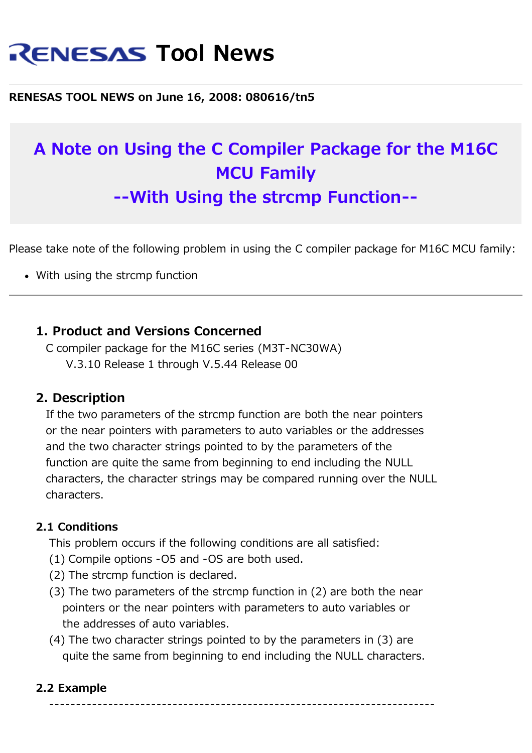# **RENESAS Tool News**

#### **RENESAS TOOL NEWS on June 16, 2008: 080616/tn5**

## **A Note on Using the C Compiler Package for the M16C MCU Family --With Using the strcmp Function--**

Please take note of the following problem in using the C compiler package for M16C MCU family:

• With using the strcmp function

#### **1. Product and Versions Concerned**

 C compiler package for the M16C series (M3T-NC30WA) V.3.10 Release 1 through V.5.44 Release 00

#### **2. Description**

 If the two parameters of the strcmp function are both the near pointers or the near pointers with parameters to auto variables or the addresses and the two character strings pointed to by the parameters of the function are quite the same from beginning to end including the NULL characters, the character strings may be compared running over the NULL characters.

#### **2.1 Conditions**

This problem occurs if the following conditions are all satisfied:

- (1) Compile options -O5 and -OS are both used.
- (2) The strcmp function is declared.
- (3) The two parameters of the strcmp function in (2) are both the near pointers or the near pointers with parameters to auto variables or the addresses of auto variables.
- (4) The two character strings pointed to by the parameters in (3) are quite the same from beginning to end including the NULL characters.

#### **2.2 Example**

------------------------------------------------------------------------